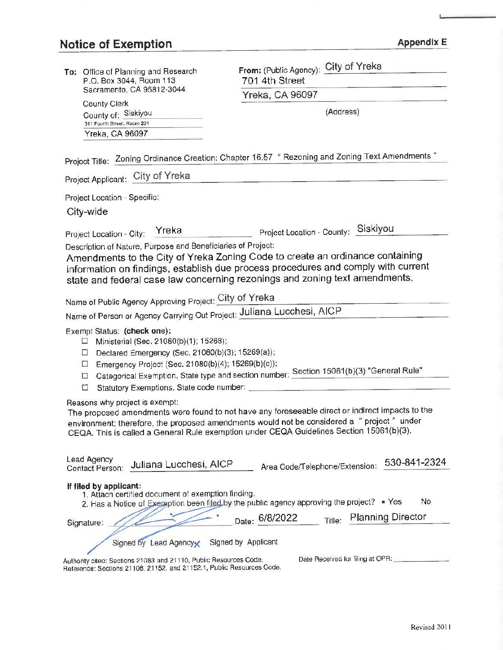# Notice of Exemption Appendix E

| To: Office of Planning and Research                                                                                                        | From: (Public Agency): City of Yreka                                                                                                                                                  |
|--------------------------------------------------------------------------------------------------------------------------------------------|---------------------------------------------------------------------------------------------------------------------------------------------------------------------------------------|
| P.O. Box 3044, Room 113                                                                                                                    | 701 4th Street                                                                                                                                                                        |
| Sacramento, CA 95812-3044                                                                                                                  | Yreka, CA 96097                                                                                                                                                                       |
| <b>County Clerk</b><br>County of: Siskiyou                                                                                                 | (Address)                                                                                                                                                                             |
| 311 Fourth Street. Room 201                                                                                                                |                                                                                                                                                                                       |
| Yreka, CA 96097                                                                                                                            |                                                                                                                                                                                       |
|                                                                                                                                            | Project Title: Zoning Ordinance Creation: Chapter 16.57 " Rezoning and Zoning Text Amendments "                                                                                       |
| Project Applicant: City of Yreka                                                                                                           |                                                                                                                                                                                       |
| Project Location - Specific:                                                                                                               |                                                                                                                                                                                       |
| City-wide                                                                                                                                  |                                                                                                                                                                                       |
| Yreka                                                                                                                                      | Project Location - County: Siskiyou                                                                                                                                                   |
| Project Location - City:<br>Description of Nature, Purpose and Beneficiaries of Project:                                                   |                                                                                                                                                                                       |
|                                                                                                                                            | Amendments to the City of Yreka Zoning Code to create an ordinance containing                                                                                                         |
|                                                                                                                                            | information on findings, establish due process procedures and comply with current                                                                                                     |
|                                                                                                                                            | state and federal case law concerning rezonings and zoning text amendments.                                                                                                           |
| Name of Public Agency Approving Project: City of Yreka                                                                                     |                                                                                                                                                                                       |
| Name of Person or Agency Carrying Out Project: Juliana Lucchesi, AICP                                                                      |                                                                                                                                                                                       |
| Exempt Status: (check one):                                                                                                                |                                                                                                                                                                                       |
| Ministerial (Sec. 21080(b)(1); 15268);<br>ப                                                                                                |                                                                                                                                                                                       |
| Declared Emergency (Sec. 21080(b)(3); 15269(a));<br>⊔                                                                                      |                                                                                                                                                                                       |
| Emergency Project (Sec. 21080(b)(4); 15269(b)(c));<br>$\Box$<br>□                                                                          | Categorical Exemption. State type and section number: Section 15061(b)(3) "General Rule"                                                                                              |
| Statutory Exemptions. State code number:<br>□                                                                                              |                                                                                                                                                                                       |
| Reasons why project is exempt:                                                                                                             |                                                                                                                                                                                       |
|                                                                                                                                            | The proposed amendments were found to not have any foreseeable direct or indirect impacts to the                                                                                      |
|                                                                                                                                            | environment; therefore, the proposed amendments would not be considered a "project" under<br>CEQA. This is called a General Rule exemption under CEQA Guidelines Section 15061(b)(3). |
|                                                                                                                                            |                                                                                                                                                                                       |
| Lead Agency                                                                                                                                | 530-841-2324                                                                                                                                                                          |
| Juliana Lucchesi, AICP<br>Contact Person:                                                                                                  | Area Code/Telephone/Extension:                                                                                                                                                        |
| If filed by applicant:                                                                                                                     |                                                                                                                                                                                       |
| 1. Attach certified document of exemption finding.                                                                                         | No<br>2. Has a Notice of Exemption been filed by the public agency approving the project? • Yes                                                                                       |
|                                                                                                                                            | <b>Planning Director</b><br>Date: 6/8/2022<br>Title:                                                                                                                                  |
| Signature:                                                                                                                                 |                                                                                                                                                                                       |
| Signed by Lead Agencyx                                                                                                                     | Signed by Applicant                                                                                                                                                                   |
| Authority cited: Sections 21083 and 21110, Public Resources Code.<br>Reference: Sections 21108, 21152, and 21152.1, Public Resources Code. | Date Received for filing at OPR:                                                                                                                                                      |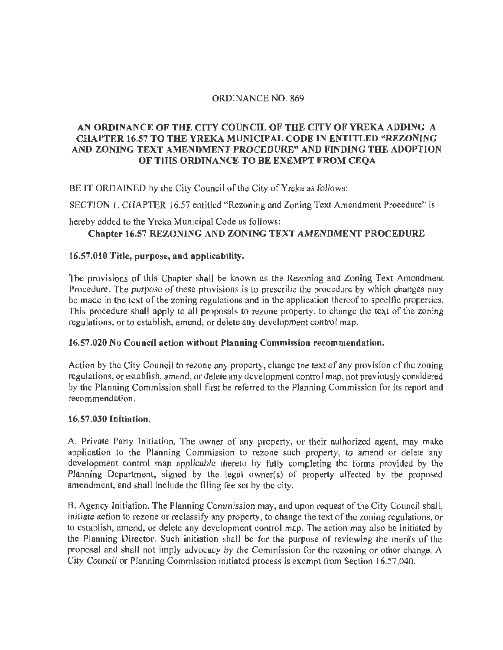## ORDINANCE NO. 869

# **AN ORDINANCE OF THE CITY COUNCIL OF THE CITY OF YREKA ADDING A CHAPTER 16.57 TO THE YREKA MUNICIPAL CODE** IN **ENTITLED "REZONING AND ZONING TEXT AMENDMENT PROCEDURE" AND FINDING THE ADOPTION OF THIS ORDINANCE TO BE EXEMPT FROM CEQA**

BE IT ORDAINED by the City Council of the City of Yreka as follows:

SECTION 1. CHAPTER 16.57 entitled "Rezoning and Zoning Text Amendment Procedure" is

hereby added to the Yreka Municipal Code as follows:

# **Chapter 16.57 REZONING AND ZONING TEXT AMENDMENT PROCEDURE**

## **16.57.010 Title, purpose, and applicability.**

The provisions of this Chapter shall be known as the Rezoning and Zoning Text Amendment Procedure. The purpose of these provisions is to prescribe the procedure by which changes may be made in the text of the zoning regulations and in the application thereof to specific properties. This procedure shall apply to all proposals to rezone property, to change the **text** of the zoning regulations, or to establish, amend, or delete any development control map.

## **16.57.020 No Council action without Planning Commission recommendation.**

Action by the City Council to rezone any property, change the text of any provision of the zoning regulations, or establish, amend, or delete any development control map, not previously considered by the Planning Commission shall first be referred to the Planning Commission for its report and recommendation.

#### **16.57.030 Initiation.**

A. Private Party Initiation. The owner of any property, or their authorized agent, may make application to the Planning Commission to rezone such property, to amend or delete any development control map applicable thereto by fully completing the forms provided by the Planning Department, signed by the legal owner(s) of property affected by the proposed amendment, and shall include the filing fee set by the city.

B. Agency Initiation, The Planning Commission may, and upon request of the City Council shall, initiate action to rezone or reclassify any property, to change the text of the zoning regulations, or to establish, amend, or delete any development control map. The action may also be initiated by the Planning Director. Such initiation shall be for the purpose of reviewing the merits of the proposal and shall not imply advocacy by the Commission for the rezoning or other change. A City Council or Planning Commission initiated process is exempt from Section 16.57.040.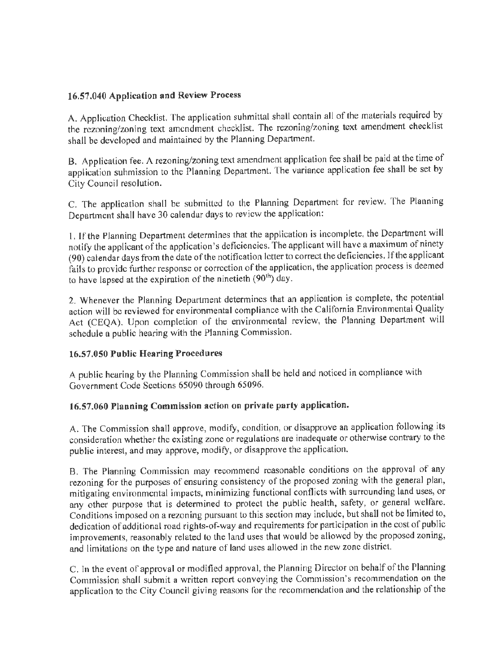# **16.57 .040 Application and Review Process**

A. Application Checklist. The application submittal shall contain all of the materials required by the rezoning/zoning text amendment checklist. The rezoning/zoning text amendment checklist shall be developed and maintained by the Planning Department.

B. Applicalion fee. A rezoning/zoning text amendment application fee shall be paid at the time of application submission to the Planning Department. The variance application fee shall be set by City Council resolution.

C. The application shall be submitted to the Planning Department for review. The Planning Department shall have 30 calendar days to review the application:

1. If the Planning Department determines that the application is incomplete, the Department will notify the applicant of the application's deficiencies. The applicant will have a maximum of ninety (90) calendar days from the date of the notification letter to correct the deficiencies. If the applicant fails to provide further response or correction of the application, the application process is deemed to have lapsed at the expiration of the ninetieth (90<sup>th</sup>) day.

2. Whenever the Planning Department determines that an application is complete, the potential action will be reviewed for environmental compliance with the California Environmental Quality Act (CEQA). Upon completion of the environmental review, the Planning Department will schedule a public hearing with the Planning Commission.

## **16.57.050 Public Hearing Procedures**

A public hearing by the Planning Commission shall be held and noticed in compliance with Government Code Sections 65090 through 65096.

# **16.57.060 Planning Commission action on private party application.**

A. The Commission shall approve, modify, condition, or disapprove an application following its consideration whether the existing zone or regulations are inadequate or otherwise contrary to the public interest, and may approve, modify, or disapprove the application.

B. The Planning Commission may recommend reasonable conditions on the approval of any rezoning for the purposes of ensuring consistency of the proposed zoning with the general plan, mitigating environmental impacts, minimizing functional conflicts with surrounding land uses, or any other purpose that is determined to protect the public health, safety, or general welfare. Conditions imposed on a rezoning pursuant to this section may include, but shall not be limited to, dedication of additional road rights-of-way and requirements for participation in the cost of public improvements, reasonably related to the land uses that would be allowed by the proposed zoning, and limitations on the type and nature of land uses allowed in the new zone district.

C. In the event of approval or modified approval, the Planning Director on behalf of the Planning Commission shall submit a written report conveying the Commission's recommendation on the application to the City Council giving reasons for the recommendation and the relationship of the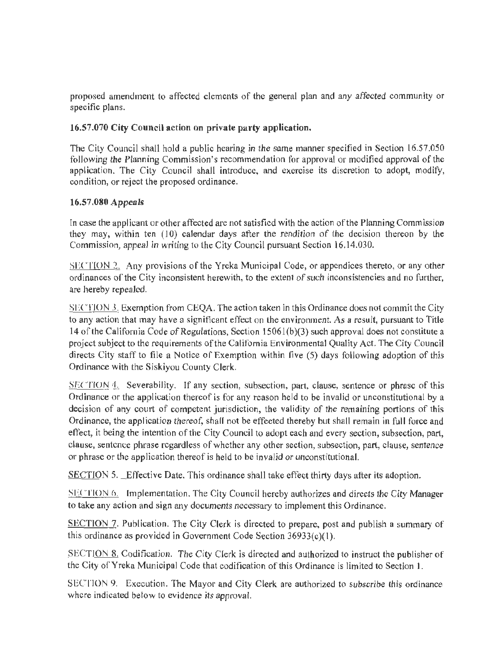proposed amendment to affected elements of the general plan and any affected community or specific plans.

# **16.57.070 City Council action on private party application.**

The City Council shall hold a public hearing in the same manner specified in Section l6.57.050 following the Planning Commission's recommendation for approval or modified approval of the application. The City Council shall introduce, and exercise its discretion to adopt, modify, condition, or reject the proposed ordinance.

## **16.57,080 Appeals**

In case the applicant or other affected are not satisfied with the action of the Planning Commission they may, within ten (10) calendar days after the rendition of the decision thereon by the Commission, appeal in writing to the City Council pursuant Section 16.14.030.

SECTION 2. Any provisions of the Yreka Municipal Code, or appendices thereto, or any other ordinances of the City inconsistent herewith, to the extent of such inconsistencies and no further, are hereby repealed.

SECTION 3. Exemption from CEQA. The action taken in this Ordinance does not commit the City to any action that may have a significant effect on the environment. As a result, pursuant to Title 14 of the California Code of Regulations, Section 1506l(b)(3) such approval does not constitute a project subject to the requirements of the California Environmental Quality Act. The City Council directs City staff to file a Notice of Exemption within five (5) days following adoption of this Ordinance with the Siskiyou County Clerk.

SECTION 4. Severability. If any section, subsection, part, clause, sentence or phrase of this Ordinance or the application thereof is for any reason held to be invalid or unconstitutional by a decision of any court of competent jurisdiction, the validity of the remaining portions of this Ordinance, the application thereof, shall not be effected thereby but shall remain in full force and effect, it being the intention of the City Council to adopt each and every section, subsection, part, clause, sentence phrase regardless of whether any other section, subsection, part, clause, sentence or phrase or the application thereof is held to be invalid or unconstitutional.

SECTION 5. Effective Date. This ordinance shall take effect thirty days after its adoption.

SECTION 6. Implementation. The City Council hereby authorizes and directs the City Manager to take any action and sign any documents necessary to implement this Ordinance.

SECTION 7. Publication. The City Clerk is directed to prepare, post and publish a summary of this ordinance as provided in Government Code Section 36933(c)(I).

SECTION 8. Codification. The City Clerk is directed and authorized to instruct the publisher of the City of Yreka Municipal Code that codification of this Ordinance is limited to Section I.

SECTION 9. Execution. The Mayor and City Clerk are authorized to subscribe this ordinance where indicated below to evidence its approval.